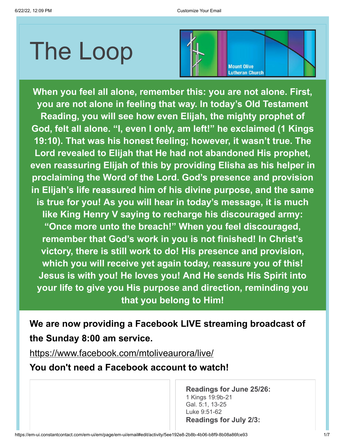# The Loop



**When you feel all alone, remember this: you are not alone. First, you are not alone in feeling that way. In today's Old Testament Reading, you will see how even Elijah, the mighty prophet of God, felt all alone. "I, even I only, am left!" he exclaimed (1 Kings 19:10). That was his honest feeling; however, it wasn't true. The Lord revealed to Elijah that He had not abandoned His prophet, even reassuring Elijah of this by providing Elisha as his helper in proclaiming the Word of the Lord. God's presence and provision in Elijah's life reassured him of his divine purpose, and the same is true for you! As you will hear in today's message, it is much like King Henry V saying to recharge his discouraged army: "Once more unto the breach!" When you feel discouraged, remember that God's work in you is not finished! In Christ's victory, there is still work to do! His presence and provision, which you will receive yet again today, reassure you of this! Jesus is with you! He loves you! And He sends His Spirit into your life to give you His purpose and direction, reminding you that you belong to Him!**

**We are now providing a Facebook LIVE streaming broadcast of the Sunday 8:00 am service.**

<https://www.facebook.com/mtoliveaurora/live/>

**You don't need a Facebook account to watch!**

**Readings for June 25/26:** 1 Kings 19:9b-21 Gal. 5:1, 13-25 Luke 9:51-62 **Readings for July 2/3:**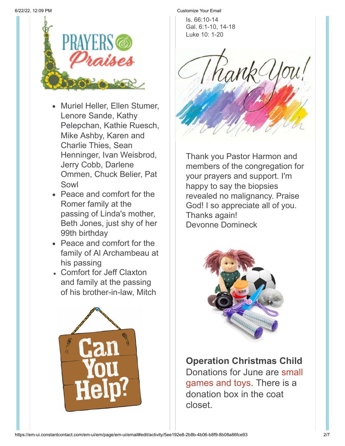

- Muriel Heller, Ellen Stumer, Lenore Sande, Kathy Pelepchan, Kathie Ruesch, Mike Ashby, Karen and Charlie Thies, Sean Henninger, Ivan Weisbrod, Jerry Cobb, Darlene Ommen, Chuck Belier, Pat Sowl
- Peace and comfort for the Romer family at the passing of Linda's mother, Beth Jones, just shy of her 99th birthday
- Peace and comfort for the family of Al Archambeau at his passing
- Comfort for Jeff Claxton and family at the passing of his brother-in-law, Mitch



6/22/22, 12:09 PM Customize Your Email

Is. 66:10-14 Gal. 6:1-10, 14-18 Luke 10: 1-20



Thank you Pastor Harmon and members of the congregation for your prayers and support. I'm happy to say the biopsies revealed no malignancy. Praise God! I so appreciate all of you. Thanks again! Devonne Domineck



## **Operation Christmas Child**

Donations for June are small games and toys. There is a donation box in the coat closet.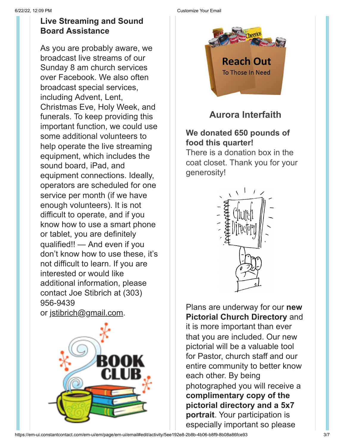#### **Live Streaming and Sound Board Assistance**

As you are probably aware, we broadcast live streams of our Sunday 8 am church services over Facebook. We also often broadcast special services, including Advent, Lent, Christmas Eve, Holy Week, and funerals. To keep providing this important function, we could use some additional volunteers to help operate the live streaming equipment, which includes the sound board, iPad, and equipment connections. Ideally, operators are scheduled for one service per month (if we have enough volunteers). It is not difficult to operate, and if you know how to use a smart phone or tablet, you are definitely qualified!! — And even if you don't know how to use these, it's not difficult to learn. If you are interested or would like additional information, please contact Joe Stibrich at (303) 956-9439 or [jstibrich@gmail.com.](mailto:jstibrich@gmail.com)



#### 6/22/22, 12:09 PM Customize Your Email



**Aurora Interfaith**

#### **We donated 650 pounds of food this quarter!**

There is a donation box in the coat closet. Thank you for your generosity!



Plans are underway for our **new Pictorial Church Directory** and it is more important than ever that you are included. Our new pictorial will be a valuable tool for Pastor, church staff and our entire community to better know each other. By being photographed you will receive a **complimentary copy of the pictorial directory and a 5x7 portrait**. Your participation is especially important so please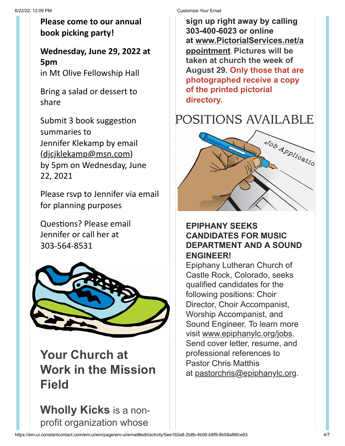#### **Please come to our annual book picking party!**

### **Wednesday, June 29, 2022 at 5pm**

in Mt Olive Fellowship Hall

Bring a salad or dessert to share

Submit 3 book suggestion summaries to Jennifer Klekamp by email [\(djcjklekamp@msn.com\)](mailto:djcjklekamp@msn.com) by 5pm on Wednesday, June 22, 2021

Please rsvp to Jennifer via email for planning purposes

Questions? Please email Jennifer or call her at 303-564-8531



**Your Church at Work in the Mission Field**

**Wholly Kicks** is a nonprofit organization whose

6/22/22, 12:09 PM Customize Your Email

**sign up right away by calling 303-400-6023 or online at [www.PictorialServices.net/a](https://www.google.com/url?q=http://www.pictorialservices.com/appointment&sa=D&source=calendar&ust=1652821632175795&usg=AOvVaw2Dz_3mwxdzKBLtkXbjlIG5) ppointment**. **Pictures will be taken at church the week of August 29. Only those that are photographed receive a copy of the printed pictorial directory.**

## POSITIONS AVAILABLE



#### **EPIPHANY SEEKS CANDIDATES FOR MUSIC DEPARTMENT AND A SOUND ENGINEER!**

Epiphany Lutheran Church of Castle Rock, Colorado, seeks qualified candidates for the following positions: Choir Director, Choir Accompanist, Worship Accompanist, and Sound Engineer. To learn more visit [www.epiphanylc.org/jobs.](http://www.epiphanylc.org/jobs) Send cover letter, resume, and professional references to Pastor Chris Matthis at [pastorchris@epiphanylc.org](mailto:pastorchris@epiphanylc.org).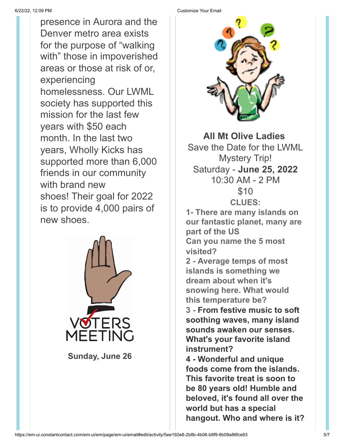presence in Aurora and the Denver metro area exists for the purpose of "walking with" those in impoverished areas or those at risk of or, experiencing homelessness. Our LWML society has supported this mission for the last few years with \$50 each month. In the last two years, Wholly Kicks has supported more than 6,000 friends in our community with brand new shoes! Their goal for 2022 is to provide 4,000 pairs of new shoes.



**Sunday, June 26**

6/22/22, 12:09 PM Customize Your Email



**All Mt Olive Ladies** Save the Date for the LWML Mystery Trip! Saturday - **June 25, 2022** 10:30 AM - 2 PM \$10 **CLUES: 1- There are many islands on our fantastic planet, many are part of the US Can you name the 5 most visited? 2 - Average temps of most islands is something we dream about when it's snowing here. What would this temperature be? 3 - From festive music to soft soothing waves, many island sounds awaken our senses. What's your favorite island instrument?**

**4 - Wonderful and unique foods come from the islands. This favorite treat is soon to be 80 years old! Humble and beloved, it's found all over the world but has a special hangout. Who and where is it?**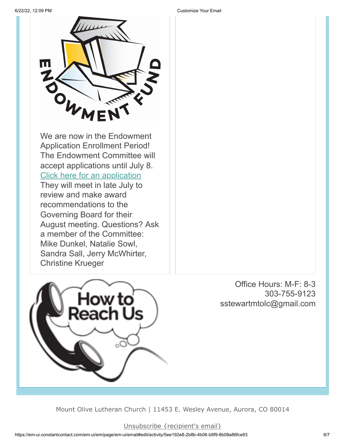

review and make award recommendations to the Governing Board for their August meeting. Questions? Ask a member of the Committee: Mike Dunkel, Natalie Sowl, Sandra Sall, Jerry McWhirter, Christine Krueger



Office Hours: M-F: 8-3 303-755-9123 sstewartmtolc@gmail.com

Mount Olive Lutheran Church | 11453 E. Wesley Avenue, Aurora, CO 80014

6/22/22, 12:09 PM Customize Your Email